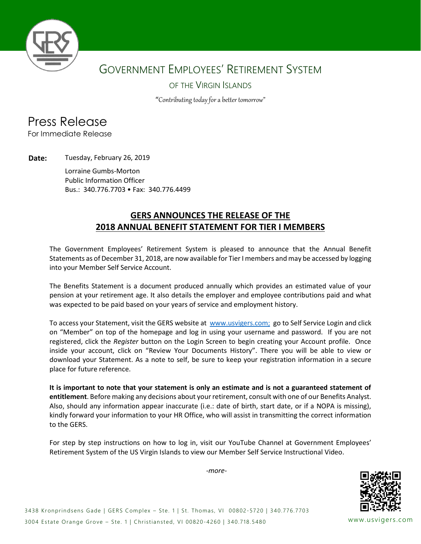

## GOVERNMENT EMPLOYEES' RETIREMENT SYSTEM

#### OF THE VIRGIN ISLANDS

"Contributing today for a better tomorrow"

## Press Release

For Immediate Release

**Date:** Tuesday, February 26, 2019

Lorraine Gumbs-Morton Public Information Officer Bus.: 340.776.7703 • Fax: 340.776.4499

#### **GERS ANNOUNCES THE RELEASE OF THE 2018 ANNUAL BENEFIT STATEMENT FOR TIER I MEMBERS**

The Government Employees' Retirement System is pleased to announce that the Annual Benefit Statements as of December 31, 2018, are now available for Tier I members and may be accessed by logging into your Member Self Service Account.

The Benefits Statement is a document produced annually which provides an estimated value of your pension at your retirement age. It also details the employer and employee contributions paid and what was expected to be paid based on your years of service and employment history.

To access your Statement, visit the GERS website at [www.usvigers.com;](http://www.usvigers.com/) go to Self Service Login and click on "Member" on top of the homepage and log in using your username and password. If you are not registered, click the *Register* button on the Login Screen to begin creating your Account profile. Once inside your account, click on "Review Your Documents History". There you will be able to view or download your Statement. As a note to self, be sure to keep your registration information in a secure place for future reference.

**It is important to note that your statement is only an estimate and is not a guaranteed statement of entitlement**. Before making any decisions about your retirement, consult with one of our Benefits Analyst. Also, should any information appear inaccurate (i.e.: date of birth, start date, or if a NOPA is missing), kindly forward your information to your HR Office, who will assist in transmitting the correct information to the GERS.

For step by step instructions on how to log in, visit our YouTube Channel at Government Employees' Retirement System of the US Virgin Islands to view our Member Self Service Instructional Video.

*-more-*